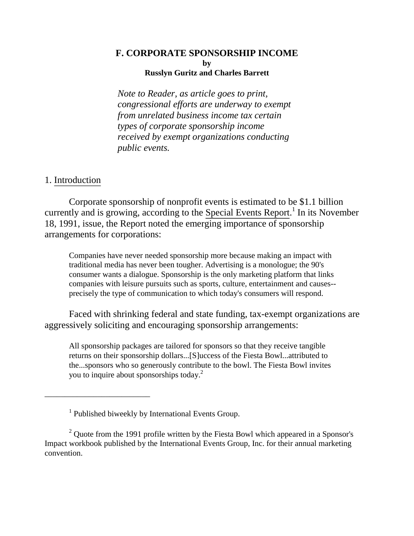#### **F. CORPORATE SPONSORSHIP INCOME by Russlyn Guritz and Charles Barrett**

*Note to Reader, as article goes to print, congressional efforts are underway to exempt from unrelated business income tax certain types of corporate sponsorship income received by exempt organizations conducting public events.* 

# 1. Introduction

Corporate sponsorship of nonprofit events is estimated to be \$1.1 billion currently and is growing, according to the Special Events Report.<sup>1</sup> In its November 18, 1991, issue, the Report noted the emerging importance of sponsorship arrangements for corporations:

Companies have never needed sponsorship more because making an impact with traditional media has never been tougher. Advertising is a monologue; the 90's consumer wants a dialogue. Sponsorship is the only marketing platform that links companies with leisure pursuits such as sports, culture, entertainment and causes- precisely the type of communication to which today's consumers will respond.

Faced with shrinking federal and state funding, tax-exempt organizations are aggressively soliciting and encouraging sponsorship arrangements:

All sponsorship packages are tailored for sponsors so that they receive tangible returns on their sponsorship dollars...[S]uccess of the Fiesta Bowl...attributed to the...sponsors who so generously contribute to the bowl. The Fiesta Bowl invites you to inquire about sponsorships today. $^{2}$ 

\_\_\_\_\_\_\_\_\_\_\_\_\_\_\_\_\_\_\_\_\_\_\_\_\_\_

<sup>&</sup>lt;sup>1</sup> Published biweekly by International Events Group.

<sup>&</sup>lt;sup>2</sup> Quote from the 1991 profile written by the Fiesta Bowl which appeared in a Sponsor's Impact workbook published by the International Events Group, Inc. for their annual marketing convention.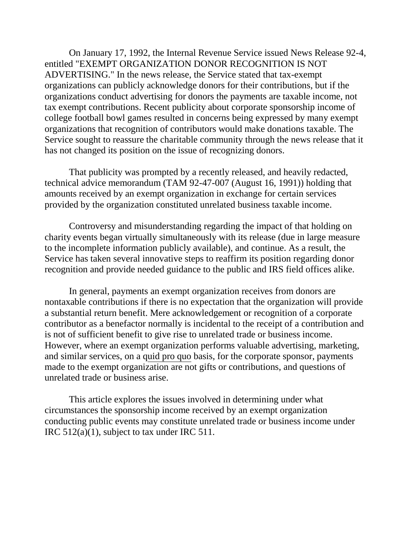On January 17, 1992, the Internal Revenue Service issued News Release 92-4, entitled "EXEMPT ORGANIZATION DONOR RECOGNITION IS NOT ADVERTISING." In the news release, the Service stated that tax-exempt organizations can publicly acknowledge donors for their contributions, but if the organizations conduct advertising for donors the payments are taxable income, not tax exempt contributions. Recent publicity about corporate sponsorship income of college football bowl games resulted in concerns being expressed by many exempt organizations that recognition of contributors would make donations taxable. The Service sought to reassure the charitable community through the news release that it has not changed its position on the issue of recognizing donors.

That publicity was prompted by a recently released, and heavily redacted, technical advice memorandum (TAM 92-47-007 (August 16, 1991)) holding that amounts received by an exempt organization in exchange for certain services provided by the organization constituted unrelated business taxable income.

Controversy and misunderstanding regarding the impact of that holding on charity events began virtually simultaneously with its release (due in large measure to the incomplete information publicly available), and continue. As a result, the Service has taken several innovative steps to reaffirm its position regarding donor recognition and provide needed guidance to the public and IRS field offices alike.

In general, payments an exempt organization receives from donors are nontaxable contributions if there is no expectation that the organization will provide a substantial return benefit. Mere acknowledgement or recognition of a corporate contributor as a benefactor normally is incidental to the receipt of a contribution and is not of sufficient benefit to give rise to unrelated trade or business income. However, where an exempt organization performs valuable advertising, marketing, and similar services, on a quid pro quo basis, for the corporate sponsor, payments made to the exempt organization are not gifts or contributions, and questions of unrelated trade or business arise.

This article explores the issues involved in determining under what circumstances the sponsorship income received by an exempt organization conducting public events may constitute unrelated trade or business income under IRC 512(a)(1), subject to tax under IRC 511.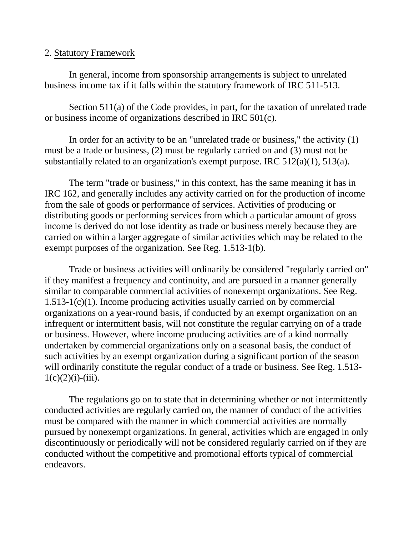### 2. Statutory Framework

In general, income from sponsorship arrangements is subject to unrelated business income tax if it falls within the statutory framework of IRC 511-513.

Section 511(a) of the Code provides, in part, for the taxation of unrelated trade or business income of organizations described in IRC 501(c).

In order for an activity to be an "unrelated trade or business," the activity (1) must be a trade or business, (2) must be regularly carried on and (3) must not be substantially related to an organization's exempt purpose. IRC 512(a)(1), 513(a).

The term "trade or business," in this context, has the same meaning it has in IRC 162, and generally includes any activity carried on for the production of income from the sale of goods or performance of services. Activities of producing or distributing goods or performing services from which a particular amount of gross income is derived do not lose identity as trade or business merely because they are carried on within a larger aggregate of similar activities which may be related to the exempt purposes of the organization. See Reg. 1.513-1(b).

Trade or business activities will ordinarily be considered "regularly carried on" if they manifest a frequency and continuity, and are pursued in a manner generally similar to comparable commercial activities of nonexempt organizations. See Reg. 1.513-1(c)(1). Income producing activities usually carried on by commercial organizations on a year-round basis, if conducted by an exempt organization on an infrequent or intermittent basis, will not constitute the regular carrying on of a trade or business. However, where income producing activities are of a kind normally undertaken by commercial organizations only on a seasonal basis, the conduct of such activities by an exempt organization during a significant portion of the season will ordinarily constitute the regular conduct of a trade or business. See Reg. 1.513- $1(c)(2)(i)-(iii)$ .

The regulations go on to state that in determining whether or not intermittently conducted activities are regularly carried on, the manner of conduct of the activities must be compared with the manner in which commercial activities are normally pursued by nonexempt organizations. In general, activities which are engaged in only discontinuously or periodically will not be considered regularly carried on if they are conducted without the competitive and promotional efforts typical of commercial endeavors.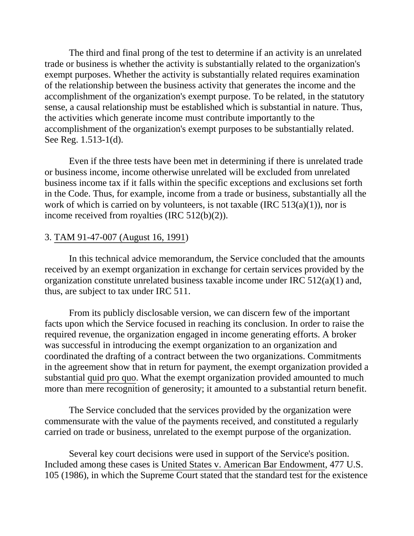The third and final prong of the test to determine if an activity is an unrelated trade or business is whether the activity is substantially related to the organization's exempt purposes. Whether the activity is substantially related requires examination of the relationship between the business activity that generates the income and the accomplishment of the organization's exempt purpose. To be related, in the statutory sense, a causal relationship must be established which is substantial in nature. Thus, the activities which generate income must contribute importantly to the accomplishment of the organization's exempt purposes to be substantially related. See Reg. 1.513-1(d).

Even if the three tests have been met in determining if there is unrelated trade or business income, income otherwise unrelated will be excluded from unrelated business income tax if it falls within the specific exceptions and exclusions set forth in the Code. Thus, for example, income from a trade or business, substantially all the work of which is carried on by volunteers, is not taxable (IRC  $513(a)(1)$ ), nor is income received from royalties (IRC 512(b)(2)).

## 3. TAM 91-47-007 (August 16, 1991)

In this technical advice memorandum, the Service concluded that the amounts received by an exempt organization in exchange for certain services provided by the organization constitute unrelated business taxable income under IRC 512(a)(1) and, thus, are subject to tax under IRC 511.

From its publicly disclosable version, we can discern few of the important facts upon which the Service focused in reaching its conclusion. In order to raise the required revenue, the organization engaged in income generating efforts. A broker was successful in introducing the exempt organization to an organization and coordinated the drafting of a contract between the two organizations. Commitments in the agreement show that in return for payment, the exempt organization provided a substantial quid pro quo. What the exempt organization provided amounted to much more than mere recognition of generosity; it amounted to a substantial return benefit.

The Service concluded that the services provided by the organization were commensurate with the value of the payments received, and constituted a regularly carried on trade or business, unrelated to the exempt purpose of the organization.

Several key court decisions were used in support of the Service's position. Included among these cases is United States v. American Bar Endowment, 477 U.S. 105 (1986), in which the Supreme Court stated that the standard test for the existence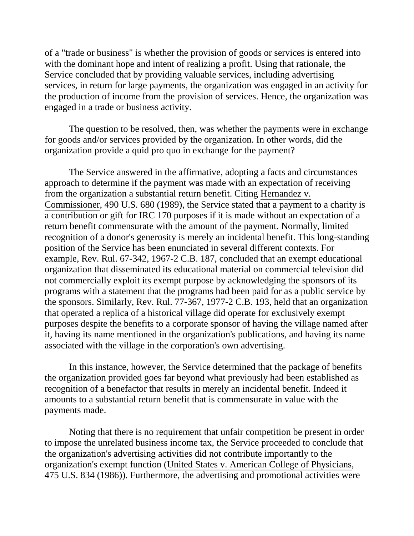of a "trade or business" is whether the provision of goods or services is entered into with the dominant hope and intent of realizing a profit. Using that rationale, the Service concluded that by providing valuable services, including advertising services, in return for large payments, the organization was engaged in an activity for the production of income from the provision of services. Hence, the organization was engaged in a trade or business activity.

The question to be resolved, then, was whether the payments were in exchange for goods and/or services provided by the organization. In other words, did the organization provide a quid pro quo in exchange for the payment?

The Service answered in the affirmative, adopting a facts and circumstances approach to determine if the payment was made with an expectation of receiving from the organization a substantial return benefit. Citing Hernandez v. Commissioner, 490 U.S. 680 (1989), the Service stated that a payment to a charity is a contribution or gift for IRC 170 purposes if it is made without an expectation of a return benefit commensurate with the amount of the payment. Normally, limited recognition of a donor's generosity is merely an incidental benefit. This long-standing position of the Service has been enunciated in several different contexts. For example, Rev. Rul. 67-342, 1967-2 C.B. 187, concluded that an exempt educational organization that disseminated its educational material on commercial television did not commercially exploit its exempt purpose by acknowledging the sponsors of its programs with a statement that the programs had been paid for as a public service by the sponsors. Similarly, Rev. Rul. 77-367, 1977-2 C.B. 193, held that an organization that operated a replica of a historical village did operate for exclusively exempt purposes despite the benefits to a corporate sponsor of having the village named after it, having its name mentioned in the organization's publications, and having its name associated with the village in the corporation's own advertising.

In this instance, however, the Service determined that the package of benefits the organization provided goes far beyond what previously had been established as recognition of a benefactor that results in merely an incidental benefit. Indeed it amounts to a substantial return benefit that is commensurate in value with the payments made.

Noting that there is no requirement that unfair competition be present in order to impose the unrelated business income tax, the Service proceeded to conclude that the organization's advertising activities did not contribute importantly to the organization's exempt function (United States v. American College of Physicians, 475 U.S. 834 (1986)). Furthermore, the advertising and promotional activities were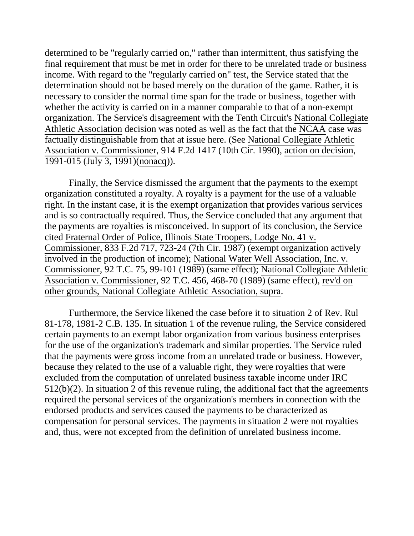determined to be "regularly carried on," rather than intermittent, thus satisfying the final requirement that must be met in order for there to be unrelated trade or business income. With regard to the "regularly carried on" test, the Service stated that the determination should not be based merely on the duration of the game. Rather, it is necessary to consider the normal time span for the trade or business, together with whether the activity is carried on in a manner comparable to that of a non-exempt organization. The Service's disagreement with the Tenth Circuit's National Collegiate Athletic Association decision was noted as well as the fact that the NCAA case was factually distinguishable from that at issue here. (See National Collegiate Athletic Association v. Commissioner, 914 F.2d 1417 (10th Cir. 1990), action on decision, 1991-015 (July 3, 1991)(nonacq)).

Finally, the Service dismissed the argument that the payments to the exempt organization constituted a royalty. A royalty is a payment for the use of a valuable right. In the instant case, it is the exempt organization that provides various services and is so contractually required. Thus, the Service concluded that any argument that the payments are royalties is misconceived. In support of its conclusion, the Service cited Fraternal Order of Police, Illinois State Troopers, Lodge No. 41 v. Commissioner, 833 F.2d 717, 723-24 (7th Cir. 1987) (exempt organization actively involved in the production of income); National Water Well Association, Inc. v. Commissioner, 92 T.C. 75, 99-101 (1989) (same effect); National Collegiate Athletic Association v. Commissioner, 92 T.C. 456, 468-70 (1989) (same effect), rev'd on other grounds, National Collegiate Athletic Association, supra.

Furthermore, the Service likened the case before it to situation 2 of Rev. Rul 81-178, 1981-2 C.B. 135. In situation 1 of the revenue ruling, the Service considered certain payments to an exempt labor organization from various business enterprises for the use of the organization's trademark and similar properties. The Service ruled that the payments were gross income from an unrelated trade or business. However, because they related to the use of a valuable right, they were royalties that were excluded from the computation of unrelated business taxable income under IRC 512(b)(2). In situation 2 of this revenue ruling, the additional fact that the agreements required the personal services of the organization's members in connection with the endorsed products and services caused the payments to be characterized as compensation for personal services. The payments in situation 2 were not royalties and, thus, were not excepted from the definition of unrelated business income.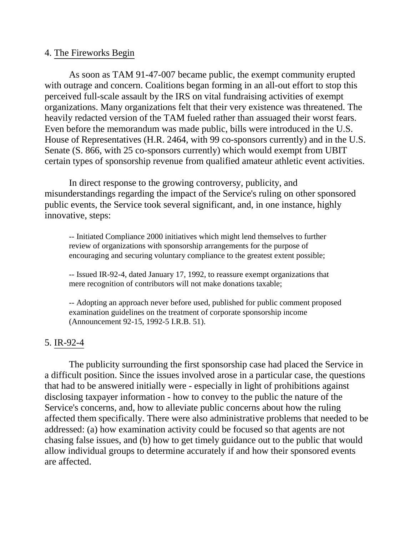#### 4. The Fireworks Begin

As soon as TAM 91-47-007 became public, the exempt community erupted with outrage and concern. Coalitions began forming in an all-out effort to stop this perceived full-scale assault by the IRS on vital fundraising activities of exempt organizations. Many organizations felt that their very existence was threatened. The heavily redacted version of the TAM fueled rather than assuaged their worst fears. Even before the memorandum was made public, bills were introduced in the U.S. House of Representatives (H.R. 2464, with 99 co-sponsors currently) and in the U.S. Senate (S. 866, with 25 co-sponsors currently) which would exempt from UBIT certain types of sponsorship revenue from qualified amateur athletic event activities.

In direct response to the growing controversy, publicity, and misunderstandings regarding the impact of the Service's ruling on other sponsored public events, the Service took several significant, and, in one instance, highly innovative, steps:

-- Initiated Compliance 2000 initiatives which might lend themselves to further review of organizations with sponsorship arrangements for the purpose of encouraging and securing voluntary compliance to the greatest extent possible;

-- Issued IR-92-4, dated January 17, 1992, to reassure exempt organizations that mere recognition of contributors will not make donations taxable;

-- Adopting an approach never before used, published for public comment proposed examination guidelines on the treatment of corporate sponsorship income (Announcement 92-15, 1992-5 I.R.B. 51).

### 5. IR-92-4

The publicity surrounding the first sponsorship case had placed the Service in a difficult position. Since the issues involved arose in a particular case, the questions that had to be answered initially were - especially in light of prohibitions against disclosing taxpayer information - how to convey to the public the nature of the Service's concerns, and, how to alleviate public concerns about how the ruling affected them specifically. There were also administrative problems that needed to be addressed: (a) how examination activity could be focused so that agents are not chasing false issues, and (b) how to get timely guidance out to the public that would allow individual groups to determine accurately if and how their sponsored events are affected.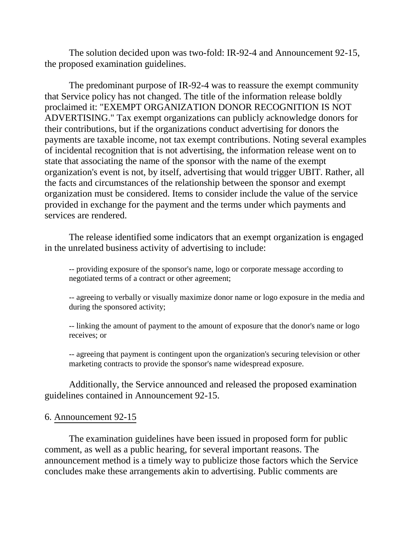The solution decided upon was two-fold: IR-92-4 and Announcement 92-15, the proposed examination guidelines.

The predominant purpose of IR-92-4 was to reassure the exempt community that Service policy has not changed. The title of the information release boldly proclaimed it: "EXEMPT ORGANIZATION DONOR RECOGNITION IS NOT ADVERTISING." Tax exempt organizations can publicly acknowledge donors for their contributions, but if the organizations conduct advertising for donors the payments are taxable income, not tax exempt contributions. Noting several examples of incidental recognition that is not advertising, the information release went on to state that associating the name of the sponsor with the name of the exempt organization's event is not, by itself, advertising that would trigger UBIT. Rather, all the facts and circumstances of the relationship between the sponsor and exempt organization must be considered. Items to consider include the value of the service provided in exchange for the payment and the terms under which payments and services are rendered.

The release identified some indicators that an exempt organization is engaged in the unrelated business activity of advertising to include:

-- providing exposure of the sponsor's name, logo or corporate message according to negotiated terms of a contract or other agreement;

-- agreeing to verbally or visually maximize donor name or logo exposure in the media and during the sponsored activity;

-- linking the amount of payment to the amount of exposure that the donor's name or logo receives; or

-- agreeing that payment is contingent upon the organization's securing television or other marketing contracts to provide the sponsor's name widespread exposure.

Additionally, the Service announced and released the proposed examination guidelines contained in Announcement 92-15.

### 6. Announcement 92-15

The examination guidelines have been issued in proposed form for public comment, as well as a public hearing, for several important reasons. The announcement method is a timely way to publicize those factors which the Service concludes make these arrangements akin to advertising. Public comments are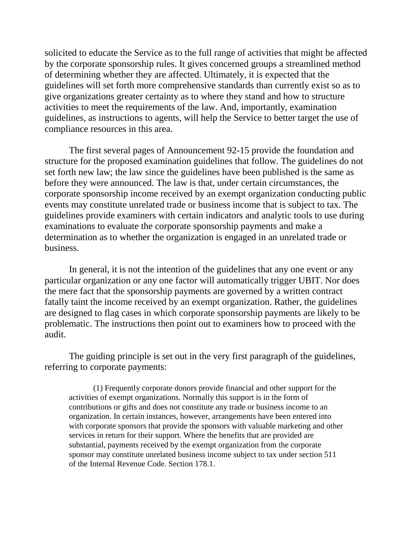solicited to educate the Service as to the full range of activities that might be affected by the corporate sponsorship rules. It gives concerned groups a streamlined method of determining whether they are affected. Ultimately, it is expected that the guidelines will set forth more comprehensive standards than currently exist so as to give organizations greater certainty as to where they stand and how to structure activities to meet the requirements of the law. And, importantly, examination guidelines, as instructions to agents, will help the Service to better target the use of compliance resources in this area.

The first several pages of Announcement 92-15 provide the foundation and structure for the proposed examination guidelines that follow. The guidelines do not set forth new law; the law since the guidelines have been published is the same as before they were announced. The law is that, under certain circumstances, the corporate sponsorship income received by an exempt organization conducting public events may constitute unrelated trade or business income that is subject to tax. The guidelines provide examiners with certain indicators and analytic tools to use during examinations to evaluate the corporate sponsorship payments and make a determination as to whether the organization is engaged in an unrelated trade or business.

In general, it is not the intention of the guidelines that any one event or any particular organization or any one factor will automatically trigger UBIT. Nor does the mere fact that the sponsorship payments are governed by a written contract fatally taint the income received by an exempt organization. Rather, the guidelines are designed to flag cases in which corporate sponsorship payments are likely to be problematic. The instructions then point out to examiners how to proceed with the audit.

The guiding principle is set out in the very first paragraph of the guidelines, referring to corporate payments:

(1) Frequently corporate donors provide financial and other support for the activities of exempt organizations. Normally this support is in the form of contributions or gifts and does not constitute any trade or business income to an organization. In certain instances, however, arrangements have been entered into with corporate sponsors that provide the sponsors with valuable marketing and other services in return for their support. Where the benefits that are provided are substantial, payments received by the exempt organization from the corporate sponsor may constitute unrelated business income subject to tax under section 511 of the Internal Revenue Code. Section 178.1.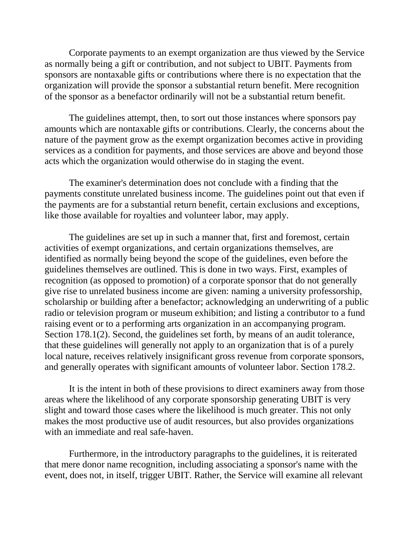Corporate payments to an exempt organization are thus viewed by the Service as normally being a gift or contribution, and not subject to UBIT. Payments from sponsors are nontaxable gifts or contributions where there is no expectation that the organization will provide the sponsor a substantial return benefit. Mere recognition of the sponsor as a benefactor ordinarily will not be a substantial return benefit.

The guidelines attempt, then, to sort out those instances where sponsors pay amounts which are nontaxable gifts or contributions. Clearly, the concerns about the nature of the payment grow as the exempt organization becomes active in providing services as a condition for payments, and those services are above and beyond those acts which the organization would otherwise do in staging the event.

The examiner's determination does not conclude with a finding that the payments constitute unrelated business income. The guidelines point out that even if the payments are for a substantial return benefit, certain exclusions and exceptions, like those available for royalties and volunteer labor, may apply.

The guidelines are set up in such a manner that, first and foremost, certain activities of exempt organizations, and certain organizations themselves, are identified as normally being beyond the scope of the guidelines, even before the guidelines themselves are outlined. This is done in two ways. First, examples of recognition (as opposed to promotion) of a corporate sponsor that do not generally give rise to unrelated business income are given: naming a university professorship, scholarship or building after a benefactor; acknowledging an underwriting of a public radio or television program or museum exhibition; and listing a contributor to a fund raising event or to a performing arts organization in an accompanying program. Section 178.1(2). Second, the guidelines set forth, by means of an audit tolerance, that these guidelines will generally not apply to an organization that is of a purely local nature, receives relatively insignificant gross revenue from corporate sponsors, and generally operates with significant amounts of volunteer labor. Section 178.2.

It is the intent in both of these provisions to direct examiners away from those areas where the likelihood of any corporate sponsorship generating UBIT is very slight and toward those cases where the likelihood is much greater. This not only makes the most productive use of audit resources, but also provides organizations with an immediate and real safe-haven.

Furthermore, in the introductory paragraphs to the guidelines, it is reiterated that mere donor name recognition, including associating a sponsor's name with the event, does not, in itself, trigger UBIT. Rather, the Service will examine all relevant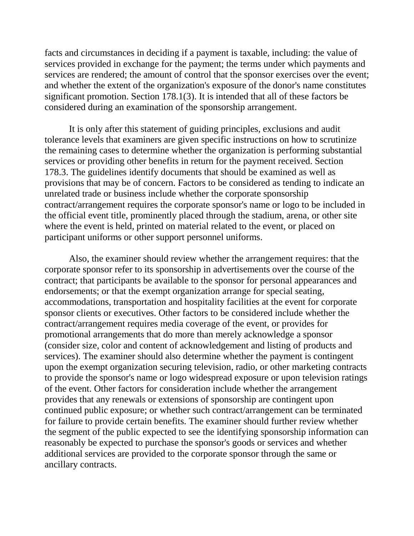facts and circumstances in deciding if a payment is taxable, including: the value of services provided in exchange for the payment; the terms under which payments and services are rendered; the amount of control that the sponsor exercises over the event; and whether the extent of the organization's exposure of the donor's name constitutes significant promotion. Section 178.1(3). It is intended that all of these factors be considered during an examination of the sponsorship arrangement.

It is only after this statement of guiding principles, exclusions and audit tolerance levels that examiners are given specific instructions on how to scrutinize the remaining cases to determine whether the organization is performing substantial services or providing other benefits in return for the payment received. Section 178.3. The guidelines identify documents that should be examined as well as provisions that may be of concern. Factors to be considered as tending to indicate an unrelated trade or business include whether the corporate sponsorship contract/arrangement requires the corporate sponsor's name or logo to be included in the official event title, prominently placed through the stadium, arena, or other site where the event is held, printed on material related to the event, or placed on participant uniforms or other support personnel uniforms.

Also, the examiner should review whether the arrangement requires: that the corporate sponsor refer to its sponsorship in advertisements over the course of the contract; that participants be available to the sponsor for personal appearances and endorsements; or that the exempt organization arrange for special seating, accommodations, transportation and hospitality facilities at the event for corporate sponsor clients or executives. Other factors to be considered include whether the contract/arrangement requires media coverage of the event, or provides for promotional arrangements that do more than merely acknowledge a sponsor (consider size, color and content of acknowledgement and listing of products and services). The examiner should also determine whether the payment is contingent upon the exempt organization securing television, radio, or other marketing contracts to provide the sponsor's name or logo widespread exposure or upon television ratings of the event. Other factors for consideration include whether the arrangement provides that any renewals or extensions of sponsorship are contingent upon continued public exposure; or whether such contract/arrangement can be terminated for failure to provide certain benefits. The examiner should further review whether the segment of the public expected to see the identifying sponsorship information can reasonably be expected to purchase the sponsor's goods or services and whether additional services are provided to the corporate sponsor through the same or ancillary contracts.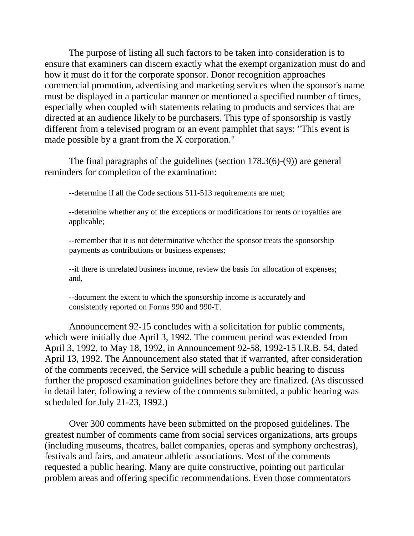The purpose of listing all such factors to be taken into consideration is to ensure that examiners can discern exactly what the exempt organization must do and how it must do it for the corporate sponsor. Donor recognition approaches commercial promotion, advertising and marketing services when the sponsor's name must be displayed in a particular manner or mentioned a specified number of times, especially when coupled with statements relating to products and services that are directed at an audience likely to be purchasers. This type of sponsorship is vastly different from a televised program or an event pamphlet that says: "This event is made possible by a grant from the X corporation."

The final paragraphs of the guidelines (section 178.3(6)-(9)) are general reminders for completion of the examination:

--determine if all the Code sections 511-513 requirements are met;

--determine whether any of the exceptions or modifications for rents or royalties are applicable;

--remember that it is not determinative whether the sponsor treats the sponsorship payments as contributions or business expenses;

--if there is unrelated business income, review the basis for allocation of expenses; and,

--document the extent to which the sponsorship income is accurately and consistently reported on Forms 990 and 990-T.

Announcement 92-15 concludes with a solicitation for public comments, which were initially due April 3, 1992. The comment period was extended from April 3, 1992, to May 18, 1992, in Announcement 92-58, 1992-15 I.R.B. 54, dated April 13, 1992. The Announcement also stated that if warranted, after consideration of the comments received, the Service will schedule a public hearing to discuss further the proposed examination guidelines before they are finalized. (As discussed in detail later, following a review of the comments submitted, a public hearing was scheduled for July 21-23, 1992.)

Over 300 comments have been submitted on the proposed guidelines. The greatest number of comments came from social services organizations, arts groups (including museums, theatres, ballet companies, operas and symphony orchestras), festivals and fairs, and amateur athletic associations. Most of the comments requested a public hearing. Many are quite constructive, pointing out particular problem areas and offering specific recommendations. Even those commentators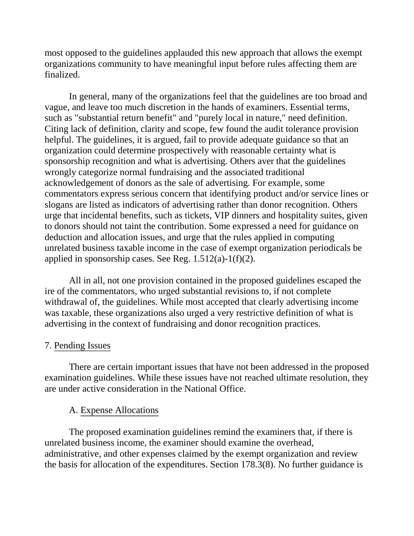most opposed to the guidelines applauded this new approach that allows the exempt organizations community to have meaningful input before rules affecting them are finalized.

In general, many of the organizations feel that the guidelines are too broad and vague, and leave too much discretion in the hands of examiners. Essential terms, such as "substantial return benefit" and "purely local in nature," need definition. Citing lack of definition, clarity and scope, few found the audit tolerance provision helpful. The guidelines, it is argued, fail to provide adequate guidance so that an organization could determine prospectively with reasonable certainty what is sponsorship recognition and what is advertising. Others aver that the guidelines wrongly categorize normal fundraising and the associated traditional acknowledgement of donors as the sale of advertising. For example, some commentators express serious concern that identifying product and/or service lines or slogans are listed as indicators of advertising rather than donor recognition. Others urge that incidental benefits, such as tickets, VIP dinners and hospitality suites, given to donors should not taint the contribution. Some expressed a need for guidance on deduction and allocation issues, and urge that the rules applied in computing unrelated business taxable income in the case of exempt organization periodicals be applied in sponsorship cases. See Reg.  $1.512(a)-1(f)(2)$ .

All in all, not one provision contained in the proposed guidelines escaped the ire of the commentators, who urged substantial revisions to, if not complete withdrawal of, the guidelines. While most accepted that clearly advertising income was taxable, these organizations also urged a very restrictive definition of what is advertising in the context of fundraising and donor recognition practices.

# 7. Pending Issues

There are certain important issues that have not been addressed in the proposed examination guidelines. While these issues have not reached ultimate resolution, they are under active consideration in the National Office.

# A. Expense Allocations

The proposed examination guidelines remind the examiners that, if there is unrelated business income, the examiner should examine the overhead, administrative, and other expenses claimed by the exempt organization and review the basis for allocation of the expenditures. Section 178.3(8). No further guidance is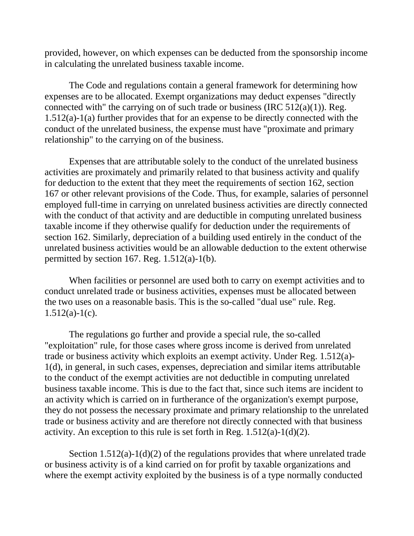provided, however, on which expenses can be deducted from the sponsorship income in calculating the unrelated business taxable income.

The Code and regulations contain a general framework for determining how expenses are to be allocated. Exempt organizations may deduct expenses "directly connected with" the carrying on of such trade or business (IRC  $512(a)(1)$ ). Reg. 1.512(a)-1(a) further provides that for an expense to be directly connected with the conduct of the unrelated business, the expense must have "proximate and primary relationship" to the carrying on of the business.

Expenses that are attributable solely to the conduct of the unrelated business activities are proximately and primarily related to that business activity and qualify for deduction to the extent that they meet the requirements of section 162, section 167 or other relevant provisions of the Code. Thus, for example, salaries of personnel employed full-time in carrying on unrelated business activities are directly connected with the conduct of that activity and are deductible in computing unrelated business taxable income if they otherwise qualify for deduction under the requirements of section 162. Similarly, depreciation of a building used entirely in the conduct of the unrelated business activities would be an allowable deduction to the extent otherwise permitted by section 167. Reg. 1.512(a)-1(b).

When facilities or personnel are used both to carry on exempt activities and to conduct unrelated trade or business activities, expenses must be allocated between the two uses on a reasonable basis. This is the so-called "dual use" rule. Reg.  $1.512(a)-1(c)$ .

The regulations go further and provide a special rule, the so-called "exploitation" rule, for those cases where gross income is derived from unrelated trade or business activity which exploits an exempt activity. Under Reg. 1.512(a)- 1(d), in general, in such cases, expenses, depreciation and similar items attributable to the conduct of the exempt activities are not deductible in computing unrelated business taxable income. This is due to the fact that, since such items are incident to an activity which is carried on in furtherance of the organization's exempt purpose, they do not possess the necessary proximate and primary relationship to the unrelated trade or business activity and are therefore not directly connected with that business activity. An exception to this rule is set forth in Reg.  $1.512(a)-1(d)(2)$ .

Section 1.512(a)-1(d)(2) of the regulations provides that where unrelated trade or business activity is of a kind carried on for profit by taxable organizations and where the exempt activity exploited by the business is of a type normally conducted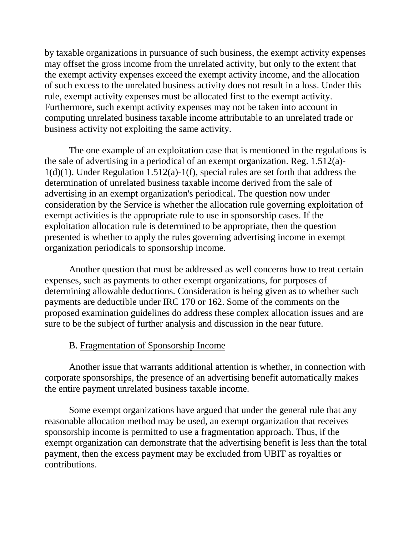by taxable organizations in pursuance of such business, the exempt activity expenses may offset the gross income from the unrelated activity, but only to the extent that the exempt activity expenses exceed the exempt activity income, and the allocation of such excess to the unrelated business activity does not result in a loss. Under this rule, exempt activity expenses must be allocated first to the exempt activity. Furthermore, such exempt activity expenses may not be taken into account in computing unrelated business taxable income attributable to an unrelated trade or business activity not exploiting the same activity.

The one example of an exploitation case that is mentioned in the regulations is the sale of advertising in a periodical of an exempt organization. Reg. 1.512(a)- 1(d)(1). Under Regulation 1.512(a)-1(f), special rules are set forth that address the determination of unrelated business taxable income derived from the sale of advertising in an exempt organization's periodical. The question now under consideration by the Service is whether the allocation rule governing exploitation of exempt activities is the appropriate rule to use in sponsorship cases. If the exploitation allocation rule is determined to be appropriate, then the question presented is whether to apply the rules governing advertising income in exempt organization periodicals to sponsorship income.

Another question that must be addressed as well concerns how to treat certain expenses, such as payments to other exempt organizations, for purposes of determining allowable deductions. Consideration is being given as to whether such payments are deductible under IRC 170 or 162. Some of the comments on the proposed examination guidelines do address these complex allocation issues and are sure to be the subject of further analysis and discussion in the near future.

# B. Fragmentation of Sponsorship Income

Another issue that warrants additional attention is whether, in connection with corporate sponsorships, the presence of an advertising benefit automatically makes the entire payment unrelated business taxable income.

Some exempt organizations have argued that under the general rule that any reasonable allocation method may be used, an exempt organization that receives sponsorship income is permitted to use a fragmentation approach. Thus, if the exempt organization can demonstrate that the advertising benefit is less than the total payment, then the excess payment may be excluded from UBIT as royalties or contributions.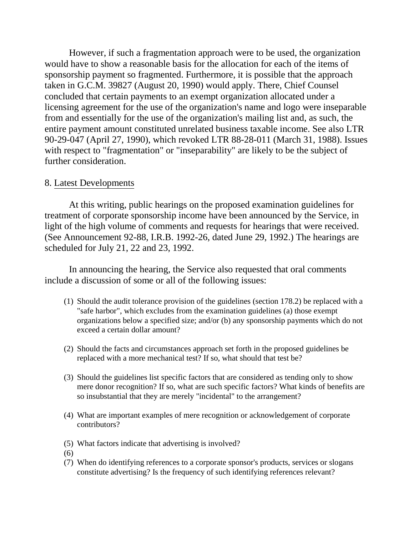However, if such a fragmentation approach were to be used, the organization would have to show a reasonable basis for the allocation for each of the items of sponsorship payment so fragmented. Furthermore, it is possible that the approach taken in G.C.M. 39827 (August 20, 1990) would apply. There, Chief Counsel concluded that certain payments to an exempt organization allocated under a licensing agreement for the use of the organization's name and logo were inseparable from and essentially for the use of the organization's mailing list and, as such, the entire payment amount constituted unrelated business taxable income. See also LTR 90-29-047 (April 27, 1990), which revoked LTR 88-28-011 (March 31, 1988). Issues with respect to "fragmentation" or "inseparability" are likely to be the subject of further consideration.

### 8. Latest Developments

At this writing, public hearings on the proposed examination guidelines for treatment of corporate sponsorship income have been announced by the Service, in light of the high volume of comments and requests for hearings that were received. (See Announcement 92-88, I.R.B. 1992-26, dated June 29, 1992.) The hearings are scheduled for July 21, 22 and 23, 1992.

In announcing the hearing, the Service also requested that oral comments include a discussion of some or all of the following issues:

- (1) Should the audit tolerance provision of the guidelines (section 178.2) be replaced with a "safe harbor", which excludes from the examination guidelines (a) those exempt organizations below a specified size; and/or (b) any sponsorship payments which do not exceed a certain dollar amount?
- (2) Should the facts and circumstances approach set forth in the proposed guidelines be replaced with a more mechanical test? If so, what should that test be?
- (3) Should the guidelines list specific factors that are considered as tending only to show mere donor recognition? If so, what are such specific factors? What kinds of benefits are so insubstantial that they are merely "incidental" to the arrangement?
- (4) What are important examples of mere recognition or acknowledgement of corporate contributors?
- (5) What factors indicate that advertising is involved?
- (6)
- (7) When do identifying references to a corporate sponsor's products, services or slogans constitute advertising? Is the frequency of such identifying references relevant?